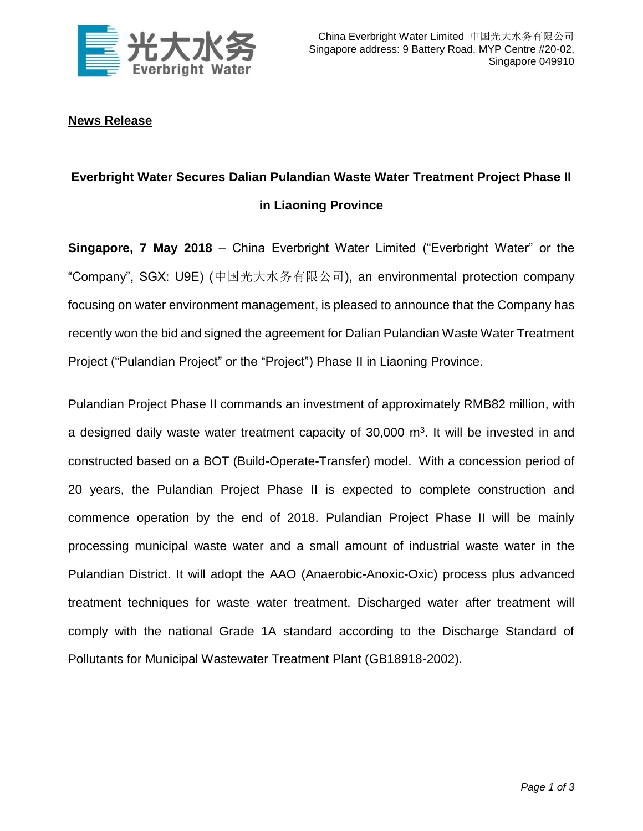

## **News Release**

# **Everbright Water Secures Dalian Pulandian Waste Water Treatment Project Phase II in Liaoning Province**

**Singapore, 7 May 2018** – China Everbright Water Limited ("Everbright Water" or the "Company", SGX: U9E) (中国光大水务有限公司), an environmental protection company focusing on water environment management, is pleased to announce that the Company has recently won the bid and signed the agreement for Dalian Pulandian Waste Water Treatment Project ("Pulandian Project" or the "Project") Phase II in Liaoning Province.

Pulandian Project Phase II commands an investment of approximately RMB82 million, with a designed daily waste water treatment capacity of  $30,000$  m<sup>3</sup>. It will be invested in and constructed based on a BOT (Build-Operate-Transfer) model. With a concession period of 20 years, the Pulandian Project Phase II is expected to complete construction and commence operation by the end of 2018. Pulandian Project Phase II will be mainly processing municipal waste water and a small amount of industrial waste water in the Pulandian District. It will adopt the AAO (Anaerobic-Anoxic-Oxic) process plus advanced treatment techniques for waste water treatment. Discharged water after treatment will comply with the national Grade 1A standard according to the Discharge Standard of Pollutants for Municipal Wastewater Treatment Plant (GB18918-2002).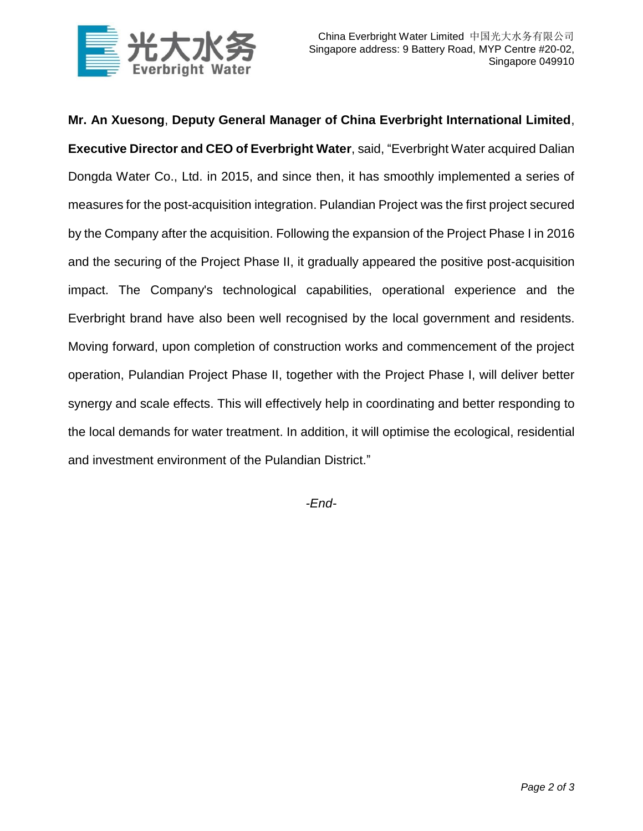

**Mr. An Xuesong**, **Deputy General Manager of China Everbright International Limited**, **Executive Director and CEO of Everbright Water**, said, "Everbright Water acquired Dalian Dongda Water Co., Ltd. in 2015, and since then, it has smoothly implemented a series of measures for the post-acquisition integration. Pulandian Project was the first project secured by the Company after the acquisition. Following the expansion of the Project Phase I in 2016 and the securing of the Project Phase II, it gradually appeared the positive post-acquisition impact. The Company's technological capabilities, operational experience and the Everbright brand have also been well recognised by the local government and residents. Moving forward, upon completion of construction works and commencement of the project operation, Pulandian Project Phase II, together with the Project Phase I, will deliver better synergy and scale effects. This will effectively help in coordinating and better responding to the local demands for water treatment. In addition, it will optimise the ecological, residential and investment environment of the Pulandian District."

*-End-*